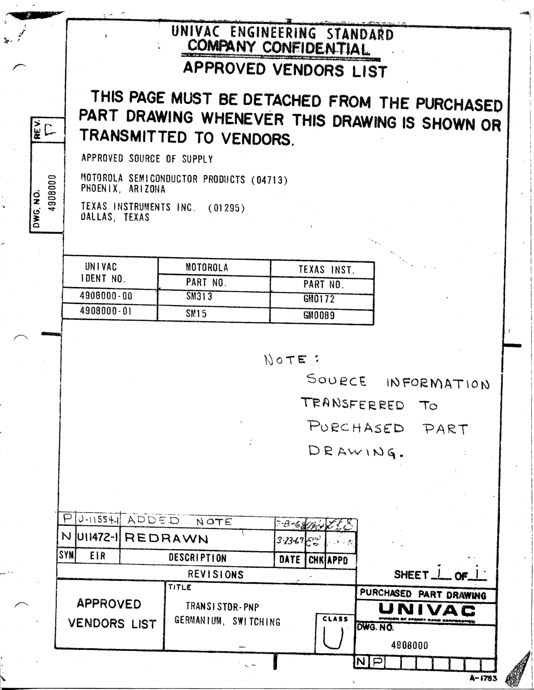## UNIVAC ENGINEERING STANDARD COMPANY CONFIDENTIAL

## APPROVED VENDORS LIST

## THIS PAGE MUST BE DETACHED FROM THE PURCHASED PART DRAWING WHENEVER THIS DRAWING IS SHOWN OR TRANSMITTED TO VENDORS.

APPROVED SOURCE OF SUPPLY

REV

4908000

DWG, NO.

MOTOROLA SEMICONDUCTOR PRODUCTS (04713) PHOENIX, ARIZONA

TEXAS INSTRUMENTS INC. (01295) DALLAS TEXAS

| UNIVAC<br>IDENT NO. | <b>MOTOROLA</b>  | TEXAS INST.   |
|---------------------|------------------|---------------|
|                     | PART NO          | PART NO       |
| 4908000-00          | SM313            | GM0172        |
| 4908000-01          | SM <sub>15</sub> | <b>GM0089</b> |

 $N$  O TE :

SOURCE INFORMATION TRANSFERRED TO

PURCHASED PART

DEAWING.